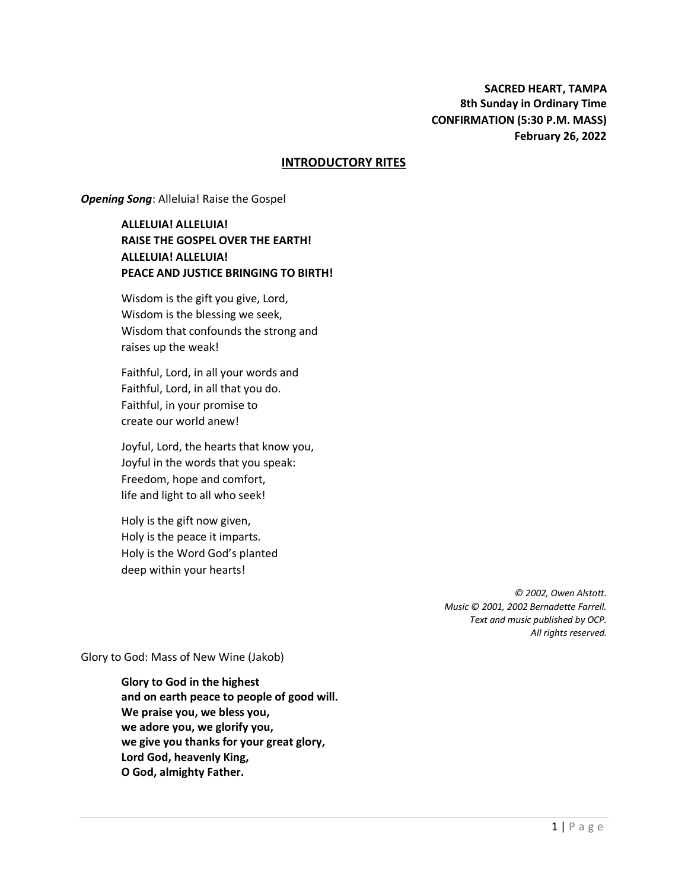# **INTRODUCTORY RITES**

**Opening Song: Alleluia! Raise the Gospel** 

**ALLELUIA! ALLELUIA! RAISE THE GOSPEL OVER THE EARTH! ALLELUIA! ALLELUIA! PEACE AND JUSTICE BRINGING TO BIRTH!**

Wisdom is the gift you give, Lord, Wisdom is the blessing we seek, Wisdom that confounds the strong and raises up the weak!

Faithful, Lord, in all your words and Faithful, Lord, in all that you do. Faithful, in your promise to create our world anew!

Joyful, Lord, the hearts that know you, Joyful in the words that you speak: Freedom, hope and comfort, life and light to all who seek!

Holy is the gift now given, Holy is the peace it imparts. Holy is the Word God's planted deep within your hearts!

> *© 2002, Owen Alstott. Music © 2001, 2002 Bernadette Farrell. Text and music published by OCP. All rights reserved.*

Glory to God: Mass of New Wine (Jakob)

**Glory to God in the highest and on earth peace to people of good will. We praise you, we bless you, we adore you, we glorify you, we give you thanks for your great glory, Lord God, heavenly King, O God, almighty Father.**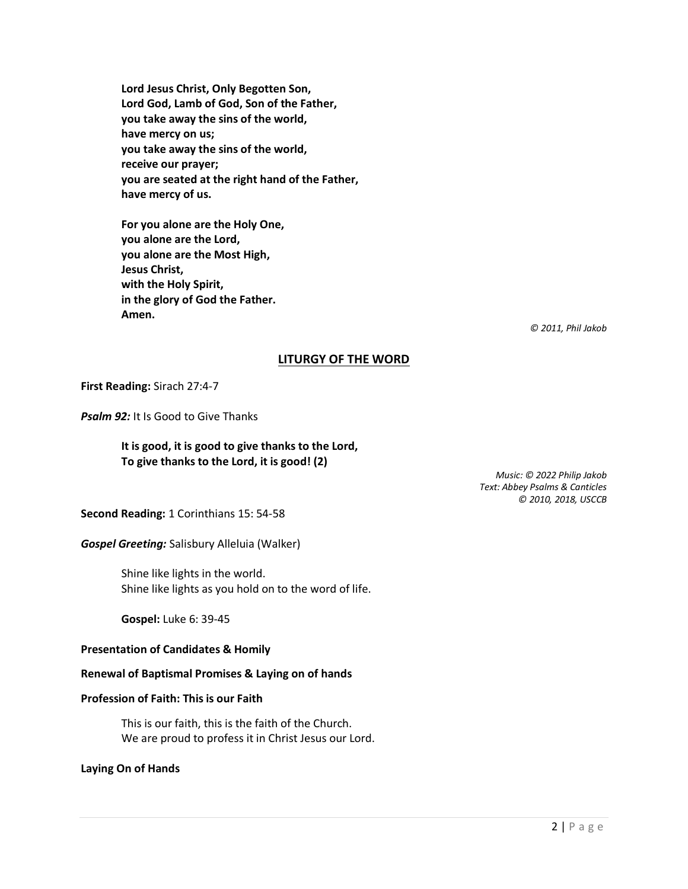**Lord Jesus Christ, Only Begotten Son, Lord God, Lamb of God, Son of the Father, you take away the sins of the world, have mercy on us; you take away the sins of the world, receive our prayer; you are seated at the right hand of the Father, have mercy of us.**

**For you alone are the Holy One, you alone are the Lord, you alone are the Most High, Jesus Christ, with the Holy Spirit, in the glory of God the Father. Amen.**

*© 2011, Phil Jakob*

### **LITURGY OF THE WORD**

**First Reading:** Sirach 27:4-7

**Psalm 92:** It Is Good to Give Thanks

**It is good, it is good to give thanks to the Lord, To give thanks to the Lord, it is good! (2)**

*Music: © 2022 Philip Jakob Text: Abbey Psalms & Canticles © 2010, 2018, USCCB*

**Second Reading:** 1 Corinthians 15: 54-58

*Gospel Greeting:* Salisbury Alleluia (Walker)

Shine like lights in the world. Shine like lights as you hold on to the word of life.

**Gospel:** Luke 6: 39-45

#### **Presentation of Candidates & Homily**

## **Renewal of Baptismal Promises & Laying on of hands**

## **Profession of Faith: This is our Faith**

This is our faith, this is the faith of the Church. We are proud to profess it in Christ Jesus our Lord.

#### **Laying On of Hands**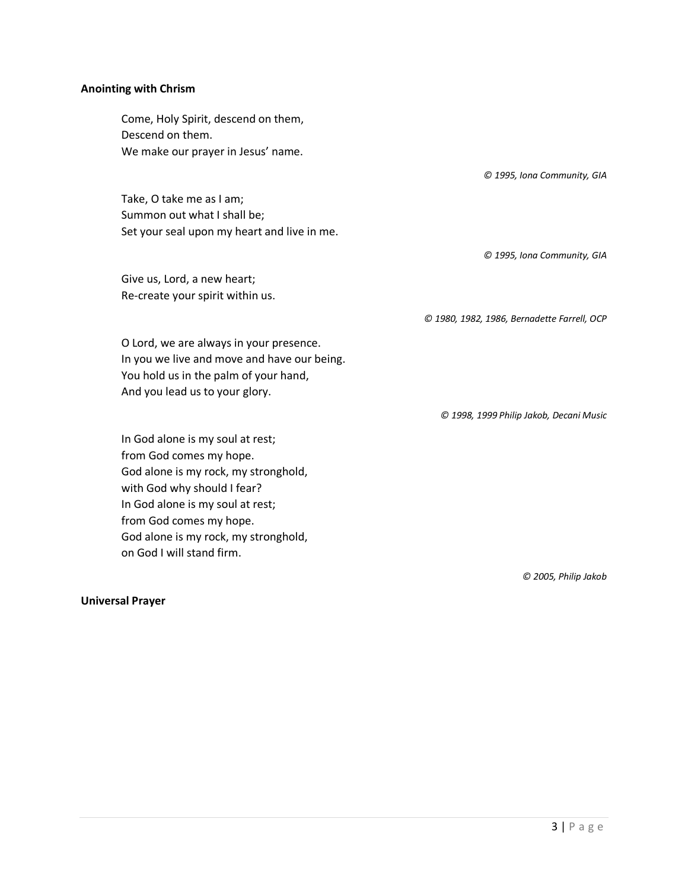### **Anointing with Chrism**

Come, Holy Spirit, descend on them, Descend on them. We make our prayer in Jesus' name.

*© 1995, Iona Community, GIA*

*© 1995, Iona Community, GIA*

Take, O take me as I am; Summon out what I shall be; Set your seal upon my heart and live in me.

Give us, Lord, a new heart; Re-create your spirit within us.

*© 1980, 1982, 1986, Bernadette Farrell, OCP*

O Lord, we are always in your presence. In you we live and move and have our being. You hold us in the palm of your hand, And you lead us to your glory.

In God alone is my soul at rest; from God comes my hope. God alone is my rock, my stronghold, with God why should I fear? In God alone is my soul at rest; from God comes my hope. God alone is my rock, my stronghold, on God I will stand firm.

### **Universal Prayer**

*© 1998, 1999 Philip Jakob, Decani Music*

*© 2005, Philip Jakob*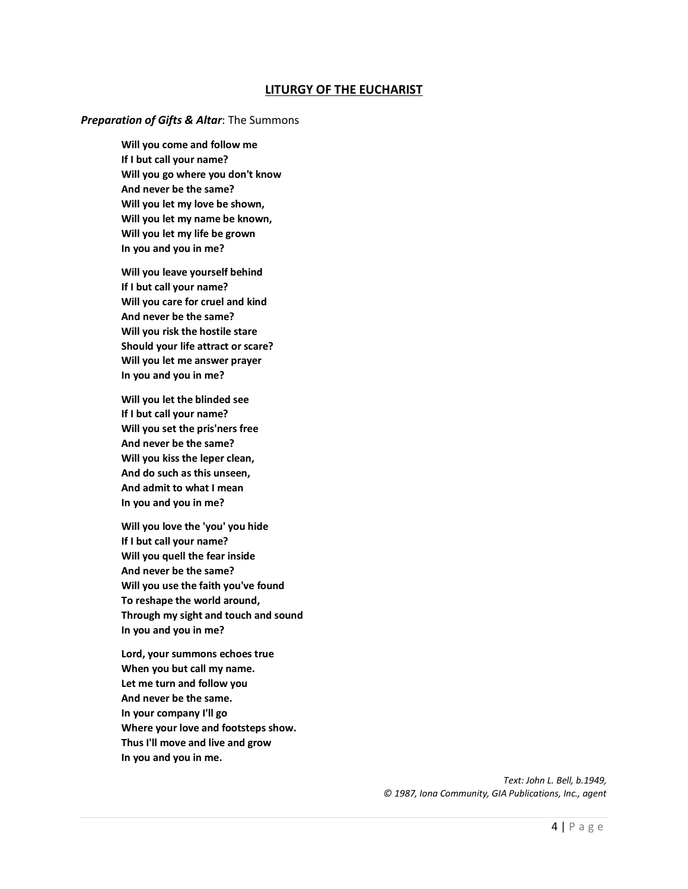### **LITURGY OF THE EUCHARIST**

#### *Preparation of Gifts & Altar*: The Summons

**Will you come and follow me If I but call your name? Will you go where you don't know And never be the same? Will you let my love be shown, Will you let my name be known, Will you let my life be grown In you and you in me?** 

**Will you leave yourself behind If I but call your name? Will you care for cruel and kind And never be the same? Will you risk the hostile stare Should your life attract or scare? Will you let me answer prayer In you and you in me?** 

**Will you let the blinded see If I but call your name? Will you set the pris'ners free And never be the same? Will you kiss the leper clean, And do such as this unseen, And admit to what I mean In you and you in me?** 

**Will you love the 'you' you hide If I but call your name? Will you quell the fear inside And never be the same? Will you use the faith you've found To reshape the world around, Through my sight and touch and sound In you and you in me?** 

**Lord, your summons echoes true When you but call my name. Let me turn and follow you And never be the same. In your company I'll go Where your love and footsteps show. Thus I'll move and live and grow In you and you in me.** 

> *Text: John L. Bell, b.1949, © 1987, Iona Community, GIA Publications, Inc., agent*